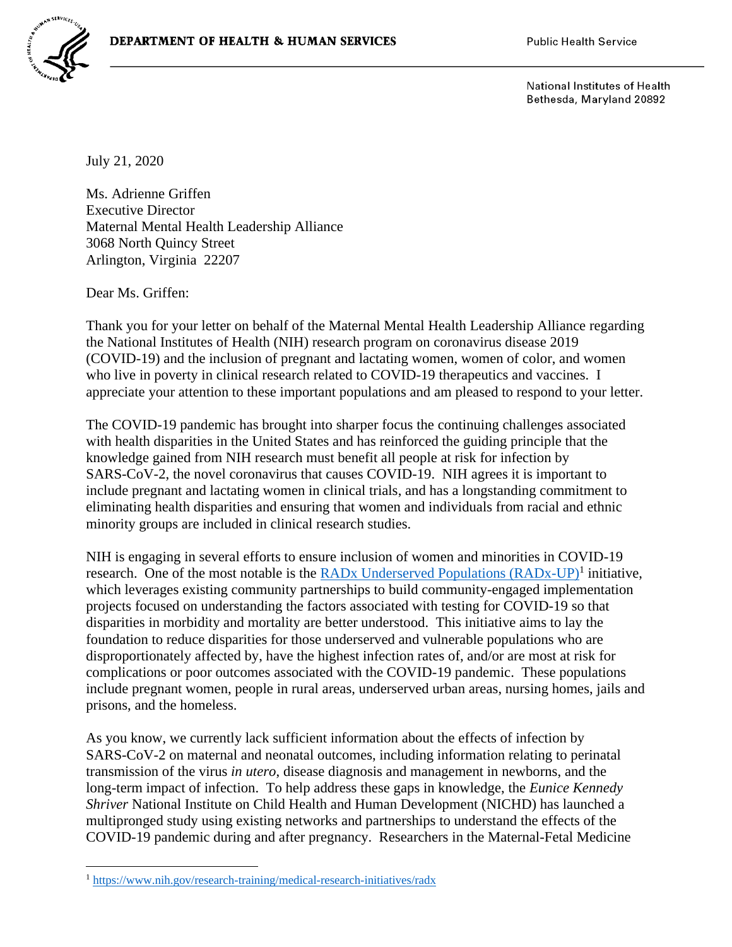

National Institutes of Health Bethesda, Maryland 20892

July 21, 2020

Ms. Adrienne Griffen Executive Director Maternal Mental Health Leadership Alliance 3068 North Quincy Street Arlington, Virginia 22207

Dear Ms. Griffen:

Thank you for your letter on behalf of the Maternal Mental Health Leadership Alliance regarding the National Institutes of Health (NIH) research program on coronavirus disease 2019 (COVID-19) and the inclusion of pregnant and lactating women, women of color, and women who live in poverty in clinical research related to COVID-19 therapeutics and vaccines. I appreciate your attention to these important populations and am pleased to respond to your letter.

The COVID-19 pandemic has brought into sharper focus the continuing challenges associated with health disparities in the United States and has reinforced the guiding principle that the knowledge gained from NIH research must benefit all people at risk for infection by SARS-CoV-2, the novel coronavirus that causes COVID-19. NIH agrees it is important to include pregnant and lactating women in clinical trials, and has a longstanding commitment to eliminating health disparities and ensuring that women and individuals from racial and ethnic minority groups are included in clinical research studies.

NIH is engaging in several efforts to ensure inclusion of women and minorities in COVID-19 research. One of the most notable is the **RADx Underserved Populations** (RADx-UP)<sup>1</sup> initiative, which leverages existing community partnerships to build community-engaged implementation projects focused on understanding the factors associated with testing for COVID-19 so that disparities in morbidity and mortality are better understood. This initiative aims to lay the foundation to reduce disparities for those underserved and vulnerable populations who are disproportionately affected by, have the highest infection rates of, and/or are most at risk for complications or poor outcomes associated with the COVID-19 pandemic. These populations include pregnant women, people in rural areas, underserved urban areas, nursing homes, jails and prisons, and the homeless.

As you know, we currently lack sufficient information about the effects of infection by SARS-CoV-2 on maternal and neonatal outcomes, including information relating to perinatal transmission of the virus *in utero*, disease diagnosis and management in newborns, and the long-term impact of infection. To help address these gaps in knowledge, the *Eunice Kennedy Shriver* National Institute on Child Health and Human Development (NICHD) has launched a multipronged study using existing networks and partnerships to understand the effects of the COVID-19 pandemic during and after pregnancy. Researchers in the Maternal-Fetal Medicine

<sup>1</sup> <https://www.nih.gov/research-training/medical-research-initiatives/radx>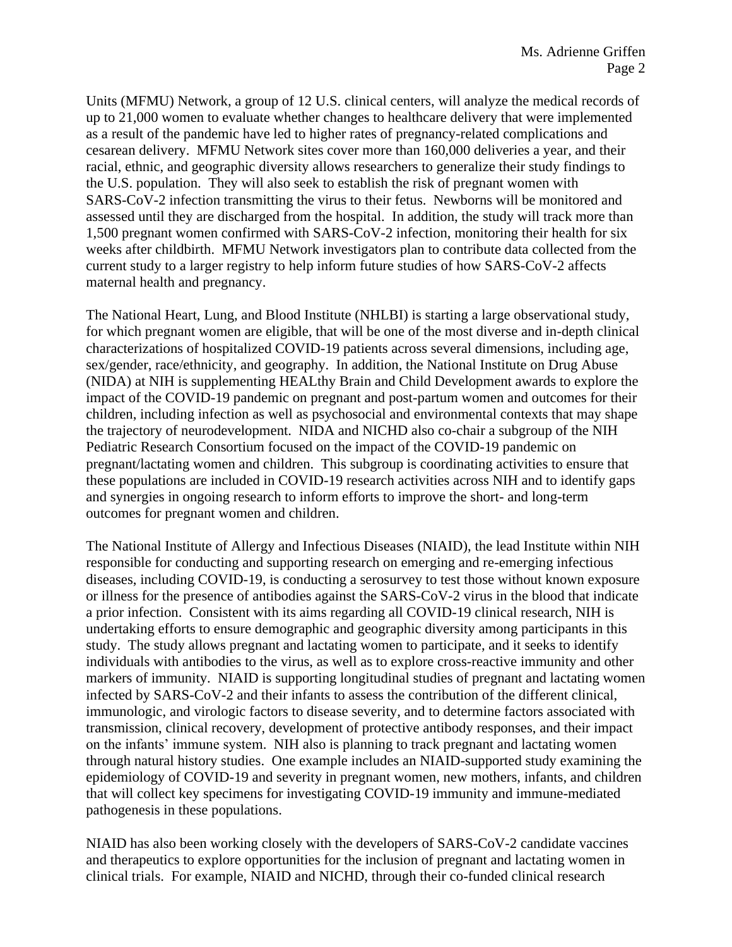Units (MFMU) Network, a group of 12 U.S. clinical centers, will analyze the medical records of up to 21,000 women to evaluate whether changes to healthcare delivery that were implemented as a result of the pandemic have led to higher rates of pregnancy-related complications and cesarean delivery. MFMU Network sites cover more than 160,000 deliveries a year, and their racial, ethnic, and geographic diversity allows researchers to generalize their study findings to the U.S. population. They will also seek to establish the risk of pregnant women with SARS-CoV-2 infection transmitting the virus to their fetus. Newborns will be monitored and assessed until they are discharged from the hospital. In addition, the study will track more than 1,500 pregnant women confirmed with SARS-CoV-2 infection, monitoring their health for six weeks after childbirth. MFMU Network investigators plan to contribute data collected from the current study to a larger registry to help inform future studies of how SARS-CoV-2 affects maternal health and pregnancy.

The National Heart, Lung, and Blood Institute (NHLBI) is starting a large observational study, for which pregnant women are eligible, that will be one of the most diverse and in-depth clinical characterizations of hospitalized COVID-19 patients across several dimensions, including age, sex/gender, race/ethnicity, and geography. In addition, the National Institute on Drug Abuse (NIDA) at NIH is supplementing HEALthy Brain and Child Development awards to explore the impact of the COVID-19 pandemic on pregnant and post-partum women and outcomes for their children, including infection as well as psychosocial and environmental contexts that may shape the trajectory of neurodevelopment. NIDA and NICHD also co-chair a subgroup of the NIH Pediatric Research Consortium focused on the impact of the COVID-19 pandemic on pregnant/lactating women and children. This subgroup is coordinating activities to ensure that these populations are included in COVID-19 research activities across NIH and to identify gaps and synergies in ongoing research to inform efforts to improve the short- and long-term outcomes for pregnant women and children.

The National Institute of Allergy and Infectious Diseases (NIAID), the lead Institute within NIH responsible for conducting and supporting research on emerging and re-emerging infectious diseases, including COVID-19, is conducting a serosurvey to test those without known exposure or illness for the presence of antibodies against the SARS-CoV-2 virus in the blood that indicate a prior infection. Consistent with its aims regarding all COVID-19 clinical research, NIH is undertaking efforts to ensure demographic and geographic diversity among participants in this study. The study allows pregnant and lactating women to participate, and it seeks to identify individuals with antibodies to the virus, as well as to explore cross-reactive immunity and other markers of immunity. NIAID is supporting longitudinal studies of pregnant and lactating women infected by SARS-CoV-2 and their infants to assess the contribution of the different clinical, immunologic, and virologic factors to disease severity, and to determine factors associated with transmission, clinical recovery, development of protective antibody responses, and their impact on the infants' immune system. NIH also is planning to track pregnant and lactating women through natural history studies. One example includes an NIAID-supported study examining the epidemiology of COVID-19 and severity in pregnant women, new mothers, infants, and children that will collect key specimens for investigating COVID-19 immunity and immune-mediated pathogenesis in these populations.

NIAID has also been working closely with the developers of SARS-CoV-2 candidate vaccines and therapeutics to explore opportunities for the inclusion of pregnant and lactating women in clinical trials. For example, NIAID and NICHD, through their co-funded clinical research